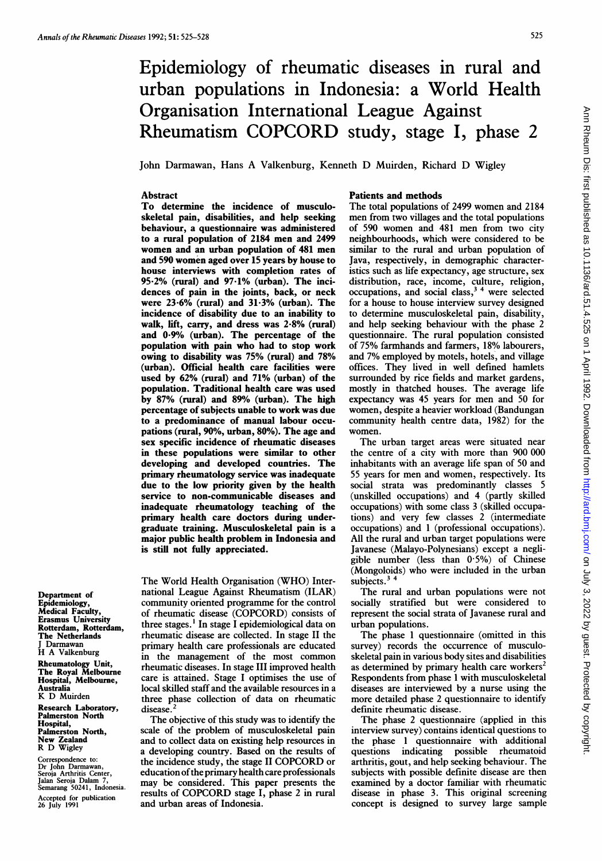# Epidemiology of rheumatic diseases in rural and urban populations in Indonesia: a World Health Organisation International League Against Rheumatism COPCORD study, stage I, phase <sup>2</sup>

John Darmawan, Hans A Valkenburg, Kenneth D Muirden, Richard D Wigley

### Abstract

To determine the incidence of musculoskeletal pain, disabilities, and help seeking behaviour, a questionnaire was administered to a rural population of 2184 men and 2499 women and an urban population of 481 men and 590 women aged over 15 years by house to house interviews with completion rates of 95-2% (rural) and 97-1% (urban). The incidences of pain in the joints, back, or neck were 23-6% (rural) and 31-3% (urban). The incidence of disability due to an inability to walk, lift, carry, and dress was 2-8% (rural) and 0-9% (urban). The percentage of the population with pain who had to stop work owing to disability was 75% (rural) and 78% (urban). Official health care facilities were used by 62% (rural) and 71% (urban) of the population. Traditional health care was used by 87% (rural) and 89% (urban). The high percentage of subjects unable to work was due to a predominance of manual labour occupations (rural, 90%, urban, 80%). The age and sex specific incidence of rheumatic diseases in these populations were similar to other developing and developed countries. The primary rheumatology service was inadequate due to the low priority given by the health service to non-communicable diseases and inadequate rheumatology teaching of the primary health care doctors during undergraduate training. Musculoskeletal pain is a major public health problem in Indonesia and is still not fuily appreciated.

Department of Epidemiology, Medical Faculty, Erasmus University Rotterdam, Rotterdam, The Netherlands J Darmawan H A Valkenburg

Rheumatology Unit, The Royal Melbourne Hospital, Melbourne, **Australia** K D Muirden Research Laboratory, Palmerston North

Hospital, Palmerston North, New Zealand R D Wigley

Correspondence to: Dr John Darmawan, Seroia Arthritis Center, Jalan Seroia Dalam 7, Semarang 50241, Indonesia. Accepted for publication 26 July 1991

The World Health Organisation (WHO) International League Against Rheumatism (ILAR) community oriented programme for the control of rheumatic disease (COPCORD) consists of three stages. ' In stage <sup>I</sup> epidemiological data on rheumatic disease are collected. In stage II the primary health care professionals are educated in the management of the most common rheumatic diseases. In stage III improved health care is attained. Stage <sup>I</sup> optimises the use of local skilled staff and the available resources in a three phase collection of data on rheumatic disease.

The objective of this study was to identify the scale of the problem of musculoskeletal pain and to collect data on existing help resources in a developing country. Based on the results of the incidence study, the stage II COPCORD or education of the primary health care professionals may be considered. This paper presents the results of COPCORD stage I, phase <sup>2</sup> in rural and urban areas of Indonesia.

# Patients and methods

The total populations of 2499 women and 2184 men from two villages and the total populations of 590 women and 481 men from two city neighbourhoods, which were considered to be similar to the rural and urban population of Java, respectively, in demographic characteristics such as life expectancy, age structure, sex distribution, race, income, culture, religion,  $\alpha$  occupations, and social class,  $3<sup>4</sup>$  were selected for a house to house interview survey designed to determine musculoskeletal pain, disability, and help seeking behaviour with the phase 2 questionnaire. The rural population consisted of 75% farmhands and farmers, 18% labourers, and 7% employed by motels, hotels, and village offices. They lived in well defined hamlets surrounded by rice fields and market gardens, mostly in thatched houses. The average life expectancy was 45 years for men and 50 for women, despite a heavier workload (Bandungan community health centre data, 1982) for the women.

The urban target areas were situated near the centre of a city with more than 900 000 inhabitants with an average life span of 50 and 55 years for men and women, respectively. Its social strata was predominantly classes 5 (unskilled occupations) and 4 (partly skilled occupations) with some class 3 (skilled occupations) and very few classes 2 (intermediate occupations) and <sup>1</sup> (professional occupations). All the rural and urban target populations were Javanese (Malayo-Polynesians) except a negligible number (less than 0-5%) of Chinese (Mongoloids) who were included in the urban subjects. $3<sup>4</sup>$ 

The rural and urban populations were not socially stratified but were considered to represent the social strata of Javanese rural and urban populations.

The phase <sup>1</sup> questionnaire (omitted in this survey) records the occurrence of musculoskeletal pain in various body sites and disabilities as determined by primary health care workers<sup>2</sup> Respondents from phase <sup>1</sup> with musculoskeletal diseases are interviewed by a nurse using the more detailed phase 2 questionnaire to identify definite rheumatic disease.

The phase 2 questionnaire (applied in this interview survey) contains identical questions to the phase <sup>1</sup> questionnaire with additional questions indicating possible rheumatoid arthritis, gout, and help seeking behaviour. The subjects with possible definite disease are then examined by a doctor familiar with rheumatic disease in phase 3. This original screening concept is designed to survey large sample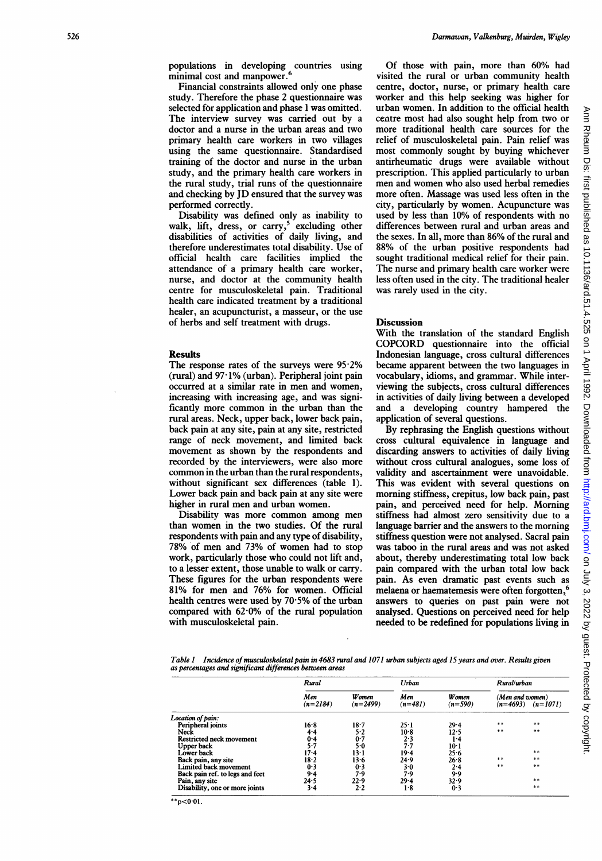Ann

populations in developing countries using minimal cost and manpower.<sup>6</sup>

Financial constraints allowed only one phase study. Therefore the phase 2 questionnaire was selected for application and phase <sup>1</sup> was omitted. The interview survey was carried out by a doctor and a nurse in the urban areas and two primary health care workers in two villages using the same questionnaire. Standardised training of the doctor and nurse in the urban study, and the primary health care workers in the rural study, trial runs of the questionnaire and checking by JD ensured that the survey was performed correctly.

Disability was defined only as inability to walk, lift, dress, or carry, $5$  excluding other disabilities of activities of daily living, and therefore underestimates total disability. Use of official health care facilities implied the attendance of a primary health care worker, nurse, and doctor at the community health centre for musculoskeletal pain. Traditional health care indicated treatment by a traditional healer, an acupuncturist, a masseur, or the use of herbs and self treatment with drugs.

## Results

The response rates of the surveys were  $95.2\%$  $(rural)$  and  $97·1%$  (urban). Peripheral joint pain occurred at <sup>a</sup> similar rate in men and women, increasing with increasing age, and was significantly more common in the urban than the rural areas. Neck, upper back, lower back pain, back pain at any site, pain at any site, restricted range of neck movement, and limited back movement as shown by the respondents and recorded by the interviewers, were also more common in the urban than the rural respondents, without significant sex differences (table 1). Lower back pain and back pain at any site were higher in rural men and urban women.

Disability was more common among men than women in the two studies. Of the rural respondents with pain and any type of disability, 78% of men and 73% of women had to stop work, particularly those who could not lift and, to a lesser extent, those unable to walk or carry. These figures for the urban respondents were 81% for men and 76% for women. Official health centres were used by  $70.5%$  of the urban compared with 62-0% of the rural population with musculoskeletal pain.

Of those with pain, more than 60% had visited the rural or urban community health centre, doctor, nurse, or primary health care worker and this help seeking was higher for uiban women. In addition to the official health centre most had also sought help from two or more traditional health care sources for the relief of musculoskeletal pain. Pain relief was most commonly sought by buying whichever antirheumatic drugs were available without prescription. This applied particularly to urban men and women who also used herbal remedies more often. Massage was used less often in the city, particularly by women. Acupuncture was used by less than 10% of respondents with no differences between rural and urban areas and the sexes. In all, more than 86% of the rural and 88% of the urban positive respondents had sought traditional medical relief for their pain. The nurse and primary health care worker were less often used in the city. The traditional healer was rarely used in the city.

Darmawan, Valkenburg, Muirden, Wigley

#### **Discussion**

With the translation of the standard English COPCORD questionnaire into the official Indonesian language, cross cultural differences became apparent between the two languages in vocabulary, idioms, and grammar. While interviewing the subjects, cross cultural differences in activities of daily living between a developed and a developing country hampered the application of several questions.

By rephrasing the English questions without cross cultural equivalence in language and discarding answers to activities of daily living without cross cultural analogues, some loss of validity and ascertainment were unavoidable. This was evident with several questions on morning stiffness, crepitus, low back pain, past pain, and perceived need for help. Morning stiffness had almost zero sensitivity due to a language barrier and the answers to the morning stiffness question were not analysed. Sacral pain was taboo in the rural areas and was not asked about, thereby underestimating total low back pain compared with the urban total low back pain. As even dramatic past events such as melaena or haematemesis were often forgotten,<sup>6</sup> answers to queries on past pain were not analysed. Questions on perceived need for help needed to be redefined for populations living in

Table 1 Incidence of musculoskeletal pain in 4683 rural and 1071 urban subjects aged 15 years and over. Results given as percentages and significant differences between areas

|                                 | Rural             |                             | Urban            |                            | Rural/urban                                 |       |  |
|---------------------------------|-------------------|-----------------------------|------------------|----------------------------|---------------------------------------------|-------|--|
|                                 | Men<br>$(n=2184)$ | <b>W</b> omen<br>$(n=2499)$ | Men<br>$(n=481)$ | <b>W</b> omen<br>$(n=590)$ | (Men and women)<br>$(n=4693)$<br>$(n=1071)$ |       |  |
| Location of pain:               |                   |                             |                  |                            |                                             |       |  |
| Peripheral joints               | 16.8              | 18-7                        | 25.1             | $29 - 4$                   | **                                          | $***$ |  |
| Neck                            | 4.4               | 5.2                         | $10-8$           | 12.5                       | $***$                                       | **    |  |
| <b>Restricted neck movement</b> | 0.4               | 0.7                         | 2.3              | 14                         |                                             |       |  |
| Upper back                      | $5-7$             | 5٠0                         | 7.7              | 10 <sup>1</sup>            |                                             |       |  |
| Lower back                      | 17-4              | 13-1                        | 19.4             | 25.6                       |                                             | $***$ |  |
| Back pain, any site             | 18.2              | 13.6                        | 24.9             | 26.8                       | $***$                                       | **    |  |
| Limited back movement           | 0.3               | 0.3                         | 3.0              | 2.4                        | **                                          | **    |  |
| Back pain ref. to legs and feet | 9.4               | 7.9                         | 7.9              | 9.9                        |                                             |       |  |
| Pain, any site                  | 24.5              | 22.9                        | 29.4             | 32.9                       |                                             | **    |  |
| Disability, one or more joints  | 3.4               | 2.2                         | 1.8              | 0.3                        |                                             | **    |  |

 $**p<0.01$ .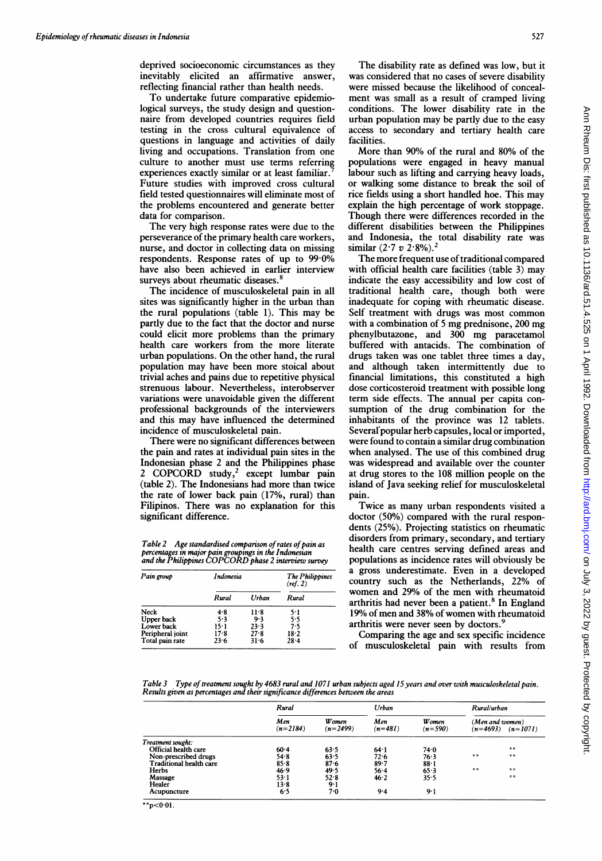deprived socioeconomic circumstances as they inevitably elicited an affirmative answer, reflecting financial rather than health needs.

To undertake future comparative epidemiological surveys, the study design and questionnaire from developed countries requires field testing in the cross cultural equivalence of questions in language and activities of daily living and occupations. Translation from one culture to another must use terms referring experiences exactly similar or at least familiar. Future studies with improved cross cultural field tested questionnaires will eliminate most of the problems encountered and generate better data for comparison.

The very high response rates were due to the perseverance of the primary health care workers, nurse, and doctor in collecting data on missing respondents. Response rates of up to 99.0% have also been achieved in earlier interview surveys about rheumatic diseases.<sup>8</sup>

The incidence of musculoskeletal pain in all sites was significantly higher in the urban than the rural populations (table 1). This may be partly due to the fact that the doctor and nurse could elicit more problems than the primary health care workers from the more literate urban populations. On the other hand, the rural population may have been more stoical about trivial aches and pains due to repetitive physical strenuous labour. Nevertheless, interobserver variations were unavoidable given the different professional backgrounds of the interviewers and this may have influenced the determined incidence of musculoskeletal pain.

There were no significant differences between the pain and rates at individual pain sites in the Indonesian phase 2 and the Philippines phase 2 COPCORD study,<sup>2</sup> except lumbar pain (table 2). The Indonesians had more than twice the rate of lower back pain (17%, rural) than Filipinos. There was no explanation for this significant difference.

Table 2 Age standardised comparison of rates of pain as percentages in major pain groupings in the Indonesian and the Philippines COPCORD phase <sup>2</sup> interview survey

| Pain group       | <b>Indonesia</b> |          | The Philippines<br>(ref. 2) |  |  |
|------------------|------------------|----------|-----------------------------|--|--|
|                  | Rural            | Urban    | Rural                       |  |  |
| Neck             | 4.8              | 11.8     | 5.1                         |  |  |
| Upper back       | 5.3              | 9.3      | 5.5                         |  |  |
| Lower back       | 15·1             | 23.3     | 7.5                         |  |  |
| Peripheral joint | 17.8             | $27 - 8$ | 18.2                        |  |  |
| Total pain rate  | 23.6             | $31 - 6$ | $28 - 4$                    |  |  |

The disability rate as defined was low, but it was considered that no cases of severe disability were missed because the likelihood of concealment was small as a result of cramped living conditions. The lower disability rate in the urban population may be partly due to the easy access to secondary and tertiary health care facilities.

527

More than 90% of the rural and 80% of the populations were engaged in heavy manual labour such as lifting and carrying heavy loads, or walking some distance to break the soil of rice fields using a short handled hoe. This may explain the high percentage of work stoppage. Though there were differences recorded in the different disabilities between the Philippines and Indonesia, the total disability rate was similar  $(2.7 v 2.8\%)$ .

The more frequent use of traditional compared with official health care facilities (table 3) may indicate the easy accessibility and low cost of traditional health care, though both were inadequate for coping with rheumatic disease. Self treatment with drugs was most common with <sup>a</sup> combination of <sup>5</sup> mg prednisone, 200 mg phenylbutazone, and 300 mg paracetamol buffered with antacids. The combination of drugs taken was one tablet three times a day, and although taken intermittently due to financial limitations, this constituted a high dose corticosteroid treatment with possible long term side effects. The annual per capita consumption of the drug combination for the inhabitants of the province was 12 tablets. Several popular herb capsules, local or imported, were found to contain a similar drug combination when analysed. The use of this combined drug was widespread and available over the counter at drug stores to the 108 million people on the island of Java seeking relief for musculoskeletal pain.

Twice as many urban respondents visited a doctor (50%) compared with the rural respondents (25%). Projecting statistics on rheumatic disorders from primary, secondary, and tertiary health care centres serving defined areas and populations as incidence rates will obviously be a gross underestimate. Even in a developed country such as the Netherlands, 22% of women and 29% of the men with rheumatoid arthritis had never been a patient.<sup>8</sup> In England 19% of men and 38% of women with rheumatoid arthritis were never seen by doctors.<sup>9</sup>

Comparing the age and sex specific incidence of musculoskeletal pain with results from

Table 3 Type of treatment sought by 4683 rural and 1071 urban subjects aged 15 years and over with musculoskeletal pain. Results given as percentages and their significance differences between the areas

|                         | Rural             |                             | Urban            |                            | Rural/urban                              |       |  |
|-------------------------|-------------------|-----------------------------|------------------|----------------------------|------------------------------------------|-------|--|
|                         | Men<br>$(n=2184)$ | <b>W</b> omen<br>$(n=2499)$ | Men<br>$(n=481)$ | <b>W</b> omen<br>$(n=590)$ | (Men and women)<br>$(n=4693)$ $(n=1071)$ |       |  |
| Treatment sought:       |                   |                             |                  |                            |                                          |       |  |
| Official health care    | 60.4              | 63.5                        | 64.1             | 74.0                       |                                          | **    |  |
| Non-prescribed drugs    | 54.8              | 63.5                        | $72 - 6$         | 76.3                       | $***$                                    | $***$ |  |
| Traditional health care | 85.8              | 87.6                        | 89.7             | 88.1                       |                                          |       |  |
| Herbs                   | 46.9              | 49.5                        | 56.4             | 65.3                       | $***$                                    | **    |  |
| Massage                 | 53.1              | 52.8                        | 46.2             | 35.5                       |                                          | **    |  |
| Healer                  | 13.8              | $9-1$                       |                  |                            |                                          |       |  |
| Acupuncture             | 6.5               | 7.0                         | 9.4              | 9.1                        |                                          |       |  |